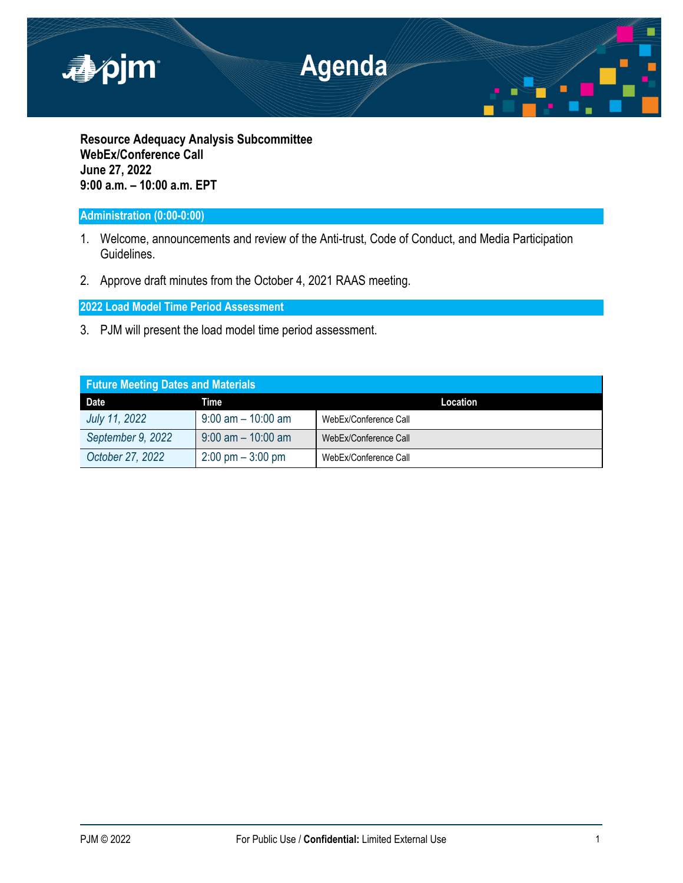

**Resource Adequacy Analysis Subcommittee WebEx/Conference Call June 27, 2022 9:00 a.m. – 10:00 a.m. EPT**

# **Administration (0:00-0:00)**

- 1. Welcome, announcements and review of the Anti-trust, Code of Conduct, and Media Participation Guidelines.
- 2. Approve draft minutes from the October 4, 2021 RAAS meeting.

**2022 Load Model Time Period Assessment**

3. PJM will present the load model time period assessment.

| <b>Future Meeting Dates and Materials</b> |                                     |                       |  |  |
|-------------------------------------------|-------------------------------------|-----------------------|--|--|
| <b>Date</b>                               | Time                                | Location              |  |  |
| July 11, 2022                             | $9:00$ am $-10:00$ am               | WebEx/Conference Call |  |  |
| September 9, 2022                         | $9:00$ am $-10:00$ am               | WebEx/Conference Call |  |  |
| October 27, 2022                          | $2:00 \text{ pm} - 3:00 \text{ pm}$ | WebEx/Conference Call |  |  |